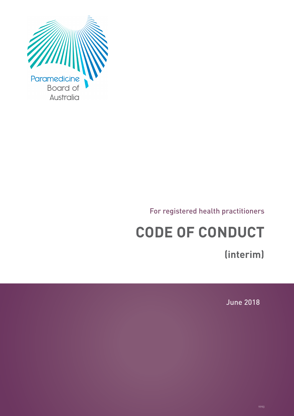

For registered health practitioners

# **CODE OF CONDUCT**

**(interim)**

June 2018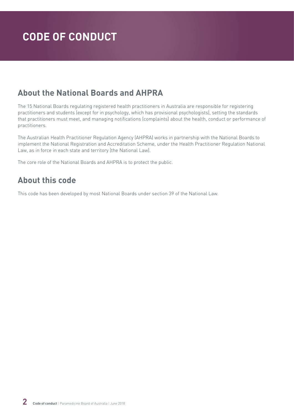### **About the National Boards and AHPRA**

The 15 National Boards regulating registered health practitioners in Australia are responsible for registering practitioners and students (except for in psychology, which has provisional psychologists), setting the standards that practitioners must meet, and managing notifications (complaints) about the health, conduct or performance of practitioners.

The Australian Health Practitioner Regulation Agency (AHPRA) works in partnership with the National Boards to implement the National Registration and Accreditation Scheme, under the Health Practitioner Regulation National Law, as in force in each state and territory (the National Law).

The core role of the National Boards and AHPRA is to protect the public.

### **About this code**

This code has been developed by most National Boards under section 39 of the National Law.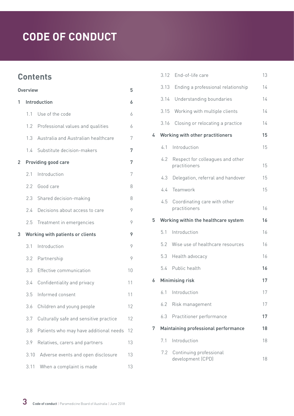### **Contents**

| <b>Overview</b><br>5 |      |                                        |    |  |
|----------------------|------|----------------------------------------|----|--|
| 1                    |      | Introduction                           | 6  |  |
|                      | 1.1  | Use of the code                        | 6  |  |
|                      | 1.2  | Professional values and qualities      | 6  |  |
|                      | 1.3  | Australia and Australian healthcare    | 7  |  |
|                      | 1.4  | Substitute decision-makers             | 7  |  |
| 2                    |      | Providing good care                    | 7  |  |
|                      | 2.1  | Introduction                           | 7  |  |
|                      | 2.2  | Good care                              | 8  |  |
|                      | 2.3  | Shared decision-making                 | 8  |  |
|                      | 2.4  | Decisions about access to care         | 9  |  |
|                      | 2.5  | Treatment in emergencies               | 9  |  |
| 3                    |      | Working with patients or clients       | 9  |  |
|                      | 3.1  | Introduction                           | 9  |  |
|                      | 3.2  | Partnership                            | 9  |  |
|                      | 3.3  | Effective communication                | 10 |  |
|                      | 3.4  | Confidentiality and privacy            | 11 |  |
|                      | 3.5  | Informed consent                       | 11 |  |
|                      | 3.6  | Children and young people              | 12 |  |
|                      | 3.7  | Culturally safe and sensitive practice | 12 |  |
|                      | 3.8  | Patients who may have additional needs | 12 |  |
|                      | 3.9  | Relatives, carers and partners         | 13 |  |
|                      | 3.10 | Adverse events and open disclosure     | 13 |  |
|                      | 3.11 | When a complaint is made               | 13 |  |

|   |      | 3.12 End-of-life care                             | 13 |
|---|------|---------------------------------------------------|----|
|   | 3.13 | Ending a professional relationship                | 14 |
|   | 3.14 | Understanding boundaries                          | 14 |
|   | 3.15 | Working with multiple clients                     | 14 |
|   | 3.16 | Closing or relocating a practice                  | 14 |
| 4 |      | Working with other practitioners                  | 15 |
|   | 4.1  | Introduction                                      | 15 |
|   | 4.2  | Respect for colleagues and other<br>practitioners | 15 |
|   | 4.3  | Delegation, referral and handover                 | 15 |
|   | 4.4  | Teamwork                                          | 15 |
|   | 4.5  | Coordinating care with other<br>practitioners     | 16 |
| 5 |      | Working within the healthcare system              | 16 |
|   | 51   | Introduction                                      | 16 |
|   |      |                                                   |    |
|   | 5.2  | Wise use of healthcare resources                  | 16 |
|   | 5.3  | Health advocacy                                   | 16 |
|   |      | 5.4 Public health                                 | 16 |
| 6 |      | Minimising risk                                   | 17 |
|   | 6.1  | Introduction                                      | 17 |
|   | 6.2  | Risk management                                   | 17 |
|   | 6.3  | Practitioner performance                          | 17 |
| 7 |      | Maintaining professional performance              | 18 |
|   | 7.1  | Introduction                                      | 18 |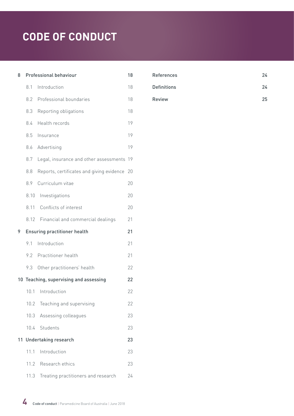| 8  |      | Professional behaviour                    | 18 |
|----|------|-------------------------------------------|----|
|    | 8.1  | Introduction                              | 18 |
|    | 8.2  | Professional boundaries                   | 18 |
|    | 8.3  | Reporting obligations                     | 18 |
|    | 8.4  | Health records                            | 19 |
|    | 8.5  | Insurance                                 | 19 |
|    | 8.6  | Advertising                               | 19 |
|    | 8.7  | Legal, insurance and other assessments    | 19 |
|    | 8.8  | Reports, certificates and giving evidence | 20 |
|    | 8.9  | Curriculum vitae                          | 20 |
|    | 8.10 | Investigations                            | 20 |
|    | 8.11 | Conflicts of interest                     | 20 |
|    | 8.12 | Financial and commercial dealings         | 21 |
|    |      |                                           |    |
|    |      | <b>Ensuring practitioner health</b>       | 21 |
| 9  | 9.1  | Introduction                              | 21 |
|    | 9.2  | Practitioner health                       | 21 |
|    | 9.3  | Other practitioners' health               | 22 |
|    |      | 10 Teaching, supervising and assessing    | 22 |
|    | 10.1 | Introduction                              | 22 |
|    | 10.2 | Teaching and supervising                  | 22 |
|    | 10.3 | Assessing colleagues                      | 23 |
|    | 10.4 | Students                                  | 23 |
| 11 |      | <b>Undertaking research</b>               | 23 |
|    | 11.1 | Introduction                              | 23 |
|    |      | 11.2 Research ethics                      | 23 |

| <b>References</b>  | 24 |
|--------------------|----|
| <b>Definitions</b> | 24 |
| <b>Review</b>      | 25 |

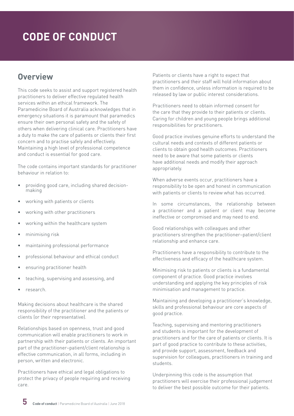### <span id="page-4-0"></span>**Overview**

This code seeks to assist and support registered health practitioners to deliver effective regulated health services within an ethical framework. The Paramedicine Board of Australia acknowledges that in emergency situations it is paramount that paramedics ensure their own personal safety and the safety of others when delivering clinical care. Practitioners have a duty to make the care of patients or clients their first concern and to practise safely and effectively. Maintaining a high level of professional competence and conduct is essential for good care.

The code contains important standards for practitioner behaviour in relation to:

- providing good care, including shared decisionmaking
- working with patients or clients
- working with other practitioners
- working within the healthcare system
- minimising risk
- maintaining professional performance
- professional behaviour and ethical conduct
- ensuring practitioner health
- teaching, supervising and assessing, and
- research.

Making decisions about healthcare is the shared responsibility of the practitioner and the patients or clients (or their representative).

Relationships based on openness, trust and good communication will enable practitioners to work in partnership with their patients or clients. An important part of the practitioner–patient/client relationship is effective communication, in all forms, including in person, written and electronic.

Practitioners have ethical and legal obligations to protect the privacy of people requiring and receiving care.

Patients or clients have a right to expect that practitioners and their staff will hold information about them in confidence, unless information is required to be released by law or public interest considerations.

Practitioners need to obtain informed consent for the care that they provide to their patients or clients. Caring for children and young people brings additional responsibilities for practitioners.

Good practice involves genuine efforts to understand the cultural needs and contexts of different patients or clients to obtain good health outcomes. Practitioners need to be aware that some patients or clients have additional needs and modify their approach appropriately.

When adverse events occur, practitioners have a responsibility to be open and honest in communication with patients or clients to review what has occurred.

In some circumstances, the relationship between a practitioner and a patient or client may become ineffective or compromised and may need to end.

Good relationships with colleagues and other practitioners strengthen the practitioner–patient/client relationship and enhance care.

Practitioners have a responsibility to contribute to the effectiveness and efficacy of the healthcare system.

Minimising risk to patients or clients is a fundamental component of practice. Good practice involves understanding and applying the key principles of risk minimisation and management to practice.

Maintaining and developing a practitioner's knowledge, skills and professional behaviour are core aspects of good practice.

Teaching, supervising and mentoring practitioners and students is important for the development of practitioners and for the care of patients or clients. It is part of good practice to contribute to these activities, and provide support, assessment, feedback and supervision for colleagues, practitioners in training and students.

Underpinning this code is the assumption that practitioners will exercise their professional judgement to deliver the best possible outcome for their patients.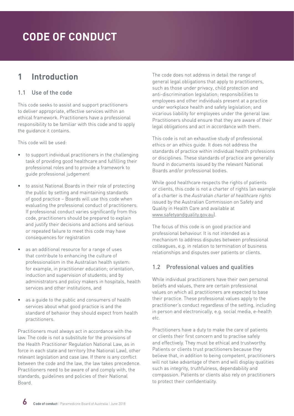### <span id="page-5-0"></span>**1 Introduction**

#### 1.1 Use of the code

This code seeks to assist and support practitioners to deliver appropriate, effective services within an ethical framework. Practitioners have a professional responsibility to be familiar with this code and to apply the guidance it contains.

This code will be used:

- to support individual practitioners in the challenging task of providing good healthcare and fulfilling their professional roles and to provide a framework to guide professional judgement
- to assist National Boards in their role of protecting the public by setting and maintaining standards of good practice – Boards will use this code when evaluating the professional conduct of practitioners. If professional conduct varies significantly from this code, practitioners should be prepared to explain and justify their decisions and actions and serious or repeated failure to meet this code may have consequences for registration
- as an additional resource for a range of uses that contribute to enhancing the culture of professionalism in the Australian health system: for example, in practitioner education; orientation, induction and supervision of students; and by administrators and policy makers in hospitals, health services and other institutions, and
- as a quide to the public and consumers of health services about what good practice is and the standard of behavior they should expect from health practitioners.

Practitioners must always act in accordance with the law. The code is not a substitute for the provisions of the Health Practitioner Regulation National Law, as in force in each state and territory (the National Law), other relevant legislation and case law. If there is any conflict between the code and the law, the law takes precedence. Practitioners need to be aware of and comply with, the standards, guidelines and policies of their National Board.

The code does not address in detail the range of general legal obligations that apply to practitioners, such as those under privacy, child protection and anti-discrimination legislation; responsibilities to employees and other individuals present at a practice under workplace health and safety legislation; and vicarious liability for employees under the general law. Practitioners should ensure that they are aware of their legal obligations and act in accordance with them.

This code is not an exhaustive study of professional ethics or an ethics guide. It does not address the standards of practice within individual health professions or disciplines. These standards of practice are generally found in documents issued by the relevant National Boards and/or professional bodies.

While good healthcare respects the rights of patients or clients, this code is not a charter of rights (an example of a charter is the *Australian charter of healthcare rights* issued by the Australian Commission on Safety and Quality in Health Care and available at [www.safetyandquality.gov.au\)](http://www.safetyandquality.gov.au).

The focus of this code is on good practice and professional behaviour. It is not intended as a mechanism to address disputes between professional colleagues, e.g. in relation to termination of business relationships and disputes over patients or clients.

#### 1.2 Professional values and qualities

While individual practitioners have their own personal beliefs and values, there are certain professional values on which all practitioners are expected to base their practice. These professional values apply to the practitioner's conduct regardless of the setting, including in person and electronically, e.g. social media, e-health etc.

Practitioners have a duty to make the care of patients or clients their first concern and to practise safely and effectively. They must be ethical and trustworthy. Patients or clients trust practitioners because they believe that, in addition to being competent, practitioners will not take advantage of them and will display qualities such as integrity, truthfulness, dependability and compassion. Patients or clients also rely on practitioners to protect their confidentiality.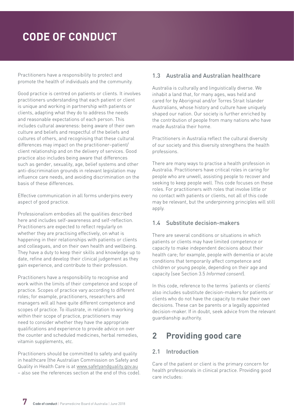<span id="page-6-0"></span>Practitioners have a responsibility to protect and promote the health of individuals and the community.

Good practice is centred on patients or clients. It involves practitioners understanding that each patient or client is unique and working in partnership with patients or clients, adapting what they do to address the needs and reasonable expectations of each person. This includes cultural awareness: being aware of their own culture and beliefs and respectful of the beliefs and cultures of others, and recognising that these cultural differences may impact on the practitioner–patient/ client relationship and on the delivery of services. Good practice also includes being aware that differences such as gender, sexuality, age, belief systems and other anti-discrimination grounds in relevant legislation may influence care needs, and avoiding discrimination on the basis of these differences.

Effective communication in all forms underpins every aspect of good practice.

Professionalism embodies all the qualities described here and includes self-awareness and self-reflection. Practitioners are expected to reflect regularly on whether they are practising effectively, on what is happening in their relationships with patients or clients and colleagues, and on their own health and wellbeing. They have a duty to keep their skills and knowledge up to date, refine and develop their clinical judgement as they gain experience, and contribute to their profession.

Practitioners have a responsibility to recognise and work within the limits of their competence and scope of practice. Scopes of practice vary according to different roles; for example, practitioners, researchers and managers will all have quite different competence and scopes of practice. To illustrate, in relation to working within their scope of practice, practitioners may need to consider whether they have the appropriate qualifications and experience to provide advice on over the counter and scheduled medicines, herbal remedies, vitamin supplements, etc.

Practitioners should be committed to safety and quality in healthcare (the Australian Commission on Safety and Quality in Health Care is at [www.safetyandquality.gov.au](http://www.safetyandquality.gov.au) – also see the references section at the end of this code).

#### 1.3 Australia and Australian healthcare

Australia is culturally and linguistically diverse. We inhabit a land that, for many ages, was held and cared for by Aboriginal and/or Torres Strait Islander Australians, whose history and culture have uniquely shaped our nation. Our society is further enriched by the contribution of people from many nations who have made Australia their home.

Practitioners in Australia reflect the cultural diversity of our society and this diversity strengthens the health professions.

There are many ways to practise a health profession in Australia. Practitioners have critical roles in caring for people who are unwell, assisting people to recover and seeking to keep people well. This code focuses on these roles. For practitioners with roles that involve little or no contact with patients or clients, not all of this code may be relevant, but the underpinning principles will still apply.

#### 1.4 Substitute decision-makers

There are several conditions or situations in which patients or clients may have limited competence or capacity to make independent decisions about their health care; for example, people with dementia or acute conditions that temporarily affect competence and children or young people, depending on their age and capacity (see Section 3.5 *Informed consent*).

In this code, reference to the terms 'patients or clients' also includes substitute decision-makers for patients or clients who do not have the capacity to make their own decisions. These can be parents or a legally appointed decision-maker. If in doubt, seek advice from the relevant guardianship authority.

### **2 Providing good care**

#### 2.1 Introduction

Care of the patient or client is the primary concern for health professionals in clinical practice. Providing good care includes: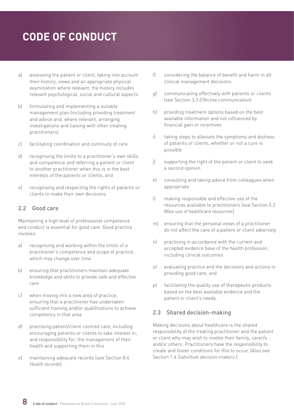- <span id="page-7-0"></span>a) assessing the patient or client, taking into account their history, views and an appropriate physical examination where relevant; the history includes relevant psychological, social and cultural aspects
- b) formulating and implementing a suitable management plan (including providing treatment and advice and, where relevant, arranging investigations and liaising with other treating practitioners)
- c) facilitating coordination and continuity of care
- d) recognising the limits to a practitioner's own skills and competence and referring a patient or client to another practitioner when this is in the best interests of the patients or clients, and
- e) recognising and respecting the rights of patients or clients to make their own decisions.

#### 2.2 Good care

Maintaining a high level of professional competence and conduct is essential for good care. Good practice involves:

- a) recognising and working within the limits of a practitioner's competence and scope of practice, which may change over time
- b) ensuring that practitioners maintain adequate knowledge and skills to provide safe and effective care
- c) when moving into a new area of practice, ensuring that a practitioner has undertaken sufficient training and/or qualifications to achieve competency in that area
- d) practising patient/client-centred care, including encouraging patients or clients to take interest in, and responsibility for, the management of their health and supporting them in this
- e) maintaining adequate records (see Section 8.4 *Health records*)
- f) considering the balance of benefit and harm in all clinical management decisions
- g) communicating effectively with patients or clients (see Section 3.3 *Effective communication*)
- h) providing treatment options based on the best available information and not influenced by financial gain or incentives
- i) taking steps to alleviate the symptoms and distress of patients or clients, whether or not a cure is possible
- j) supporting the right of the patient or client to seek a second opinion
- k) consulting and taking advice from colleagues when appropriate
- l) making responsible and effective use of the resources available to practitioners (see Section 5.2 *Wise use of healthcare resources*)
- m) ensuring that the personal views of a practitioner do not affect the care of a patient or client adversely
- n) practising in accordance with the current and accepted evidence base of the health profession, including clinical outcomes
- o) evaluating practice and the decisions and actions in providing good care, and
- p) facilitating the quality use of therapeutic products based on the best available evidence and the patient or client's needs.

#### 2.3 Shared decision-making

Making decisions about healthcare is the shared responsibility of the treating practitioner and the patient or client who may wish to involve their family, carer/s and/or others. Practitioners have the responsibility to create and foster conditions for this to occur. (Also see Section 1.4 *Substitute decision-makers.*)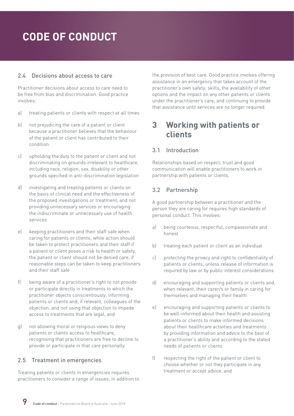#### <span id="page-8-0"></span>2.4 Decisions about access to care

Practitioner decisions about access to care need to be free from bias and discrimination. Good practice involves:

- a) treating patients or clients with respect at all times
- b) not prejudicing the care of a patient or client because a practitioner believes that the behaviour of the patient or client has contributed to their condition
- c) upholding the duty to the patient or client and not discriminating on grounds irrelevant to healthcare, including race, religion, sex, disability or other grounds specified in anti-discrimination legislation
- d) investigating and treating patients or clients on the basis of clinical need and the effectiveness of the proposed investigations or treatment, and not providing unnecessary services or encouraging the indiscriminate or unnecessary use of health services
- e) keeping practitioners and their staff safe when caring for patients or clients; while action should be taken to protect practitioners and their staff if a patient or client poses a risk to health or safety, the patient or client should not be denied care, if reasonable steps can be taken to keep practitioners and their staff safe
- f) being aware of a practitioner's right to not provide or participate directly in treatments to which the practitioner objects conscientiously, informing patients or clients and, if relevant, colleagues of the objection, and not using that objection to impede access to treatments that are legal, and
- g) not allowing moral or religious views to deny patients or clients access to healthcare, recognising that practitioners are free to decline to provide or participate in that care personally.

#### 2.5 Treatment in emergencies

Treating patients or clients in emergencies requires practitioners to consider a range of issues, in addition to the provision of best care. Good practice involves offering assistance in an emergency that takes account of the practitioner's own safety, skills, the availability of other options and the impact on any other patients or clients under the practitioner's care, and continuing to provide that assistance until services are no longer required.

### **3 Working with patients or clients**

#### 3.1 Introduction

Relationships based on respect, trust and good communication will enable practitioners to work in partnership with patients or clients.

#### 3.2 Partnership

A good partnership between a practitioner and the person they are caring for requires high standards of personal conduct. This involves:

- a) being courteous, respectful, compassionate and honest
- b) treating each patient or client as an individual
- c) protecting the privacy and right to confidentiality of patients or clients, unless release of information is required by law or by public interest considerations
- d) encouraging and supporting patients or clients and, when relevant, their carer/s or family in caring for themselves and managing their health
- e) encouraging and supporting patients or clients to be well-informed about their health and assisting patients or clients to make informed decisions about their healthcare activities and treatments by providing information and advice to the best of a practitioner's ability and according to the stated needs of patients or clients
- f) respecting the right of the patient or client to choose whether or not they participate in any treatment or accept advice, and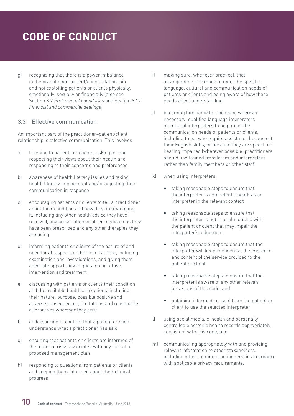<span id="page-9-0"></span>g) recognising that there is a power imbalance in the practitioner–patient/client relationship and not exploiting patients or clients physically, emotionally, sexually or financially (also see Section 8.2 *Professional boundaries* and Section 8.12 *Financial and commercial dealings*).

#### 3.3 Effective communication

An important part of the practitioner–patient/client relationship is effective communication. This involves:

- a) listening to patients or clients, asking for and respecting their views about their health and responding to their concerns and preferences
- b) awareness of health literacy issues and taking health literacy into account and/or adjusting their communication in response
- c) encouraging patients or clients to tell a practitioner about their condition and how they are managing it, including any other health advice they have received, any prescription or other medications they have been prescribed and any other therapies they are using
- d) informing patients or clients of the nature of and need for all aspects of their clinical care, including examination and investigations, and giving them adequate opportunity to question or refuse intervention and treatment
- e) discussing with patients or clients their condition and the available healthcare options, including their nature, purpose, possible positive and adverse consequences, limitations and reasonable alternatives wherever they exist
- f) endeavouring to confirm that a patient or client understands what a practitioner has said
- g) ensuring that patients or clients are informed of the material risks associated with any part of a proposed management plan
- h) responding to questions from patients or clients and keeping them informed about their clinical progress
- i) making sure, whenever practical, that arrangements are made to meet the specific language, cultural and communication needs of patients or clients and being aware of how these needs affect understanding
- j) becoming familiar with, and using wherever necessary, qualified language interpreters or cultural interpreters to help meet the communication needs of patients or clients, including those who require assistance because of their English skills, or because they are speech or hearing impaired (wherever possible, practitioners should use trained translators and interpreters rather than family members or other staff)
- k) when using interpreters:
	- taking reasonable steps to ensure that the interpreter is competent to work as an interpreter in the relevant context
	- taking reasonable steps to ensure that the interpreter is not in a relationship with the patient or client that may impair the interpreter's judgement
	- taking reasonable steps to ensure that the interpreter will keep confidential the existence and content of the service provided to the patient or client
	- taking reasonable steps to ensure that the interpreter is aware of any other relevant provisions of this code, and
	- obtaining informed consent from the patient or client to use the selected interpreter
- l) using social media, e-health and personally controlled electronic health records appropriately, consistent with this code, and
- m) communicating appropriately with and providing relevant information to other stakeholders, including other treating practitioners, in accordance with applicable privacy requirements.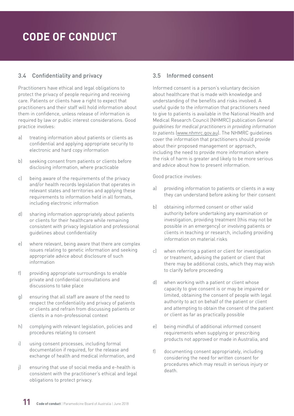#### <span id="page-10-0"></span>3.4 Confidentiality and privacy

Practitioners have ethical and legal obligations to protect the privacy of people requiring and receiving care. Patients or clients have a right to expect that practitioners and their staff will hold information about them in confidence, unless release of information is required by law or public interest considerations. Good practice involves:

- a) treating information about patients or clients as confidential and applying appropriate security to electronic and hard copy information
- b) seeking consent from patients or clients before disclosing information, where practicable
- c) being aware of the requirements of the privacy and/or health records legislation that operates in relevant states and territories and applying these requirements to information held in all formats, including electronic information
- d) sharing information appropriately about patients or clients for their healthcare while remaining consistent with privacy legislation and professional guidelines about confidentiality
- e) where relevant, being aware that there are complex issues relating to genetic information and seeking appropriate advice about disclosure of such information
- f) providing appropriate surroundings to enable private and confidential consultations and discussions to take place
- g) ensuring that all staff are aware of the need to respect the confidentiality and privacy of patients or clients and refrain from discussing patients or clients in a non-professional context
- h) complying with relevant legislation, policies and procedures relating to consent
- i) using consent processes, including formal documentation if required, for the release and exchange of health and medical information, and
- j) ensuring that use of social media and e-health is consistent with the practitioner's ethical and legal obligations to protect privacy.

#### 3.5 Informed consent

Informed consent is a person's voluntary decision about healthcare that is made with knowledge and understanding of the benefits and risks involved. A useful guide to the information that practitioners need to give to patients is available in the National Health and Medical Research Council (NHMRC) publication *General guidelines for medical practitioners in providing information to patients* ([www.nhmrc.gov.au](file:///C:\Users\helen\AppData\Local\Microsoft\Windows\Temporary Internet Files\Content.Outlook\LLROZHLU\Early and multiple versions\www.nhmrc.gov.au)). The NHMRC guidelines cover the information that practitioners should provide about their proposed management or approach, including the need to provide more information where the risk of harm is greater and likely to be more serious and advice about how to present information.

- a) providing information to patients or clients in a way they can understand before asking for their consent
- b) obtaining informed consent or other valid authority before undertaking any examination or investigation, providing treatment (this may not be possible in an emergency) or involving patients or clients in teaching or research, including providing information on material risks
- c) when referring a patient or client for investigation or treatment, advising the patient or client that there may be additional costs, which they may wish to clarify before proceeding
- d) when working with a patient or client whose capacity to give consent is or may be impaired or limited, obtaining the consent of people with legal authority to act on behalf of the patient or client and attempting to obtain the consent of the patient or client as far as practically possible
- e) being mindful of additional informed consent requirements when supplying or prescribing products not approved or made in Australia, and
- f) documenting consent appropriately, including considering the need for written consent for procedures which may result in serious injury or death.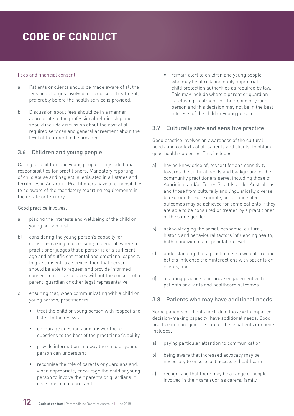#### <span id="page-11-0"></span>Fees and financial consent

- a) Patients or clients should be made aware of all the fees and charges involved in a course of treatment, preferably before the health service is provided.
- b) Discussion about fees should be in a manner appropriate to the professional relationship and should include discussion about the cost of all required services and general agreement about the level of treatment to be provided.

#### 3.6 Children and young people

Caring for children and young people brings additional responsibilities for practitioners. Mandatory reporting of child abuse and neglect is legislated in all states and territories in Australia. Practitioners have a responsibility to be aware of the mandatory reporting requirements in their state or territory.

Good practice involves:

- a) placing the interests and wellbeing of the child or young person first
- b) considering the young person's capacity for decision-making and consent; in general, where a practitioner judges that a person is of a sufficient age and of sufficient mental and emotional capacity to give consent to a service, then that person should be able to request and provide informed consent to receive services without the consent of a parent, guardian or other legal representative
- c) ensuring that, when communicating with a child or young person, practitioners:
	- treat the child or young person with respect and listen to their views
	- encourage questions and answer those questions to the best of the practitioner's ability
	- provide information in a way the child or young person can understand
	- recognise the role of parents or guardians and, when appropriate, encourage the child or young person to involve their parents or guardians in decisions about care, and

• remain alert to children and young people who may be at risk and notify appropriate child protection authorities as required by law. This may include where a parent or guardian is refusing treatment for their child or young person and this decision may not be in the best interests of the child or young person.

#### 3.7 Culturally safe and sensitive practice

Good practice involves an awareness of the cultural needs and contexts of all patients and clients, to obtain good health outcomes. This includes:

- a) having knowledge of, respect for and sensitivity towards the cultural needs and background of the community practitioners serve, including those of Aboriginal and/or Torres Strait Islander Australians and those from culturally and linguistically diverse backgrounds. For example, better and safer outcomes may be achieved for some patients if they are able to be consulted or treated by a practitioner of the same gender
- b) acknowledging the social, economic, cultural, historic and behavioural factors influencing health, both at individual and population levels
- c) understanding that a practitioner's own culture and beliefs influence their interactions with patients or clients, and
- d) adapting practice to improve engagement with patients or clients and healthcare outcomes.

#### 3.8 Patients who may have additional needs

Some patients or clients (including those with impaired decision-making capacity) have additional needs. Good practice in managing the care of these patients or clients includes:

- a) paying particular attention to communication
- b) being aware that increased advocacy may be necessary to ensure just access to healthcare
- c) recognising that there may be a range of people involved in their care such as carers, family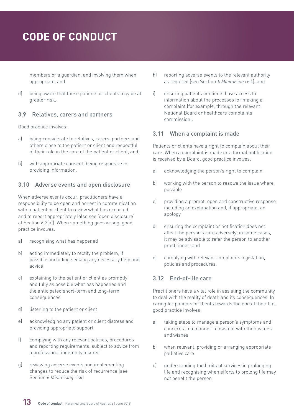<span id="page-12-0"></span>members or a guardian, and involving them when appropriate, and

d) being aware that these patients or clients may be at greater risk.

#### 3.9 Relatives, carers and partners

Good practice involves:

- a) being considerate to relatives, carers, partners and others close to the patient or client and respectful of their role in the care of the patient or client, and
- b) with appropriate consent, being responsive in providing information.

#### 3.10 Adverse events and open disclosure

When adverse events occur, practitioners have a responsibility to be open and honest in communication with a patient or client to review what has occurred and to report appropriately (also see 'open disclosure' at Section 6.2(a)). When something goes wrong, good practice involves:

- a) recognising what has happened
- b) acting immediately to rectify the problem, if possible, including seeking any necessary help and advice
- c) explaining to the patient or client as promptly and fully as possible what has happened and the anticipated short-term and long-term consequences
- d) listening to the patient or client
- e) acknowledging any patient or client distress and providing appropriate support
- f) complying with any relevant policies, procedures and reporting requirements, subject to advice from a professional indemnity insurer
- g) reviewing adverse events and implementing changes to reduce the risk of recurrence (see Section 6 *Minimising risk*)
- h) reporting adverse events to the relevant authority as required (see Section 6 *Minimising risk*), and
- i) ensuring patients or clients have access to information about the processes for making a complaint (for example, through the relevant National Board or healthcare complaints commission).

#### 3.11 When a complaint is made

Patients or clients have a right to complain about their care. When a complaint is made or a formal notification is received by a Board, good practice involves:

- a) acknowledging the person's right to complain
- b) working with the person to resolve the issue where possible
- c) providing a prompt, open and constructive response including an explanation and, if appropriate, an apology
- d) ensuring the complaint or notification does not affect the person's care adversely; in some cases, it may be advisable to refer the person to another practitioner, and
- e) complying with relevant complaints legislation, policies and procedures.

#### 3.12 End-of-life care

Practitioners have a vital role in assisting the community to deal with the reality of death and its consequences. In caring for patients or clients towards the end of their life, good practice involves:

- a) taking steps to manage a person's symptoms and concerns in a manner consistent with their values and wishes
- b) when relevant, providing or arranging appropriate palliative care
- c) understanding the limits of services in prolonging life and recognising when efforts to prolong life may not benefit the person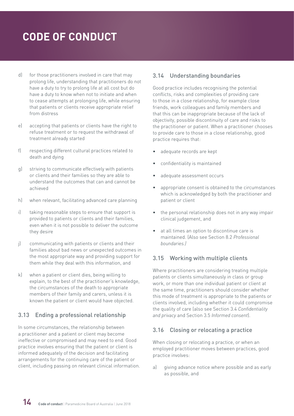- <span id="page-13-0"></span>d) for those practitioners involved in care that may prolong life, understanding that practitioners do not have a duty to try to prolong life at all cost but do have a duty to know when not to initiate and when to cease attempts at prolonging life, while ensuring that patients or clients receive appropriate relief from distress
- e) accepting that patients or clients have the right to refuse treatment or to request the withdrawal of treatment already started
- f) respecting different cultural practices related to death and dying
- g) striving to communicate effectively with patients or clients and their families so they are able to understand the outcomes that can and cannot be achieved
- h) when relevant, facilitating advanced care planning
- i) taking reasonable steps to ensure that support is provided to patients or clients and their families, even when it is not possible to deliver the outcome they desire
- j) communicating with patients or clients and their families about bad news or unexpected outcomes in the most appropriate way and providing support for them while they deal with this information, and
- k) when a patient or client dies, being willing to explain, to the best of the practitioner's knowledge, the circumstances of the death to appropriate members of their family and carers, unless it is known the patient or client would have objected.

#### 3.13 Ending a professional relationship

In some circumstances, the relationship between a practitioner and a patient or client may become ineffective or compromised and may need to end. Good practice involves ensuring that the patient or client is informed adequately of the decision and facilitating arrangements for the continuing care of the patient or client, including passing on relevant clinical information.

#### 3.14 Understanding boundaries

Good practice includes recognising the potential conflicts, risks and complexities of providing care to those in a close relationship, for example close friends, work colleagues and family members and that this can be inappropriate because of the lack of objectivity, possible discontinuity of care and risks to the practitioner or patient. When a practitioner chooses to provide care to those in a close relationship, good practice requires that:

- adequate records are kept
- confidentiality is maintained
- adequate assessment occurs
- appropriate consent is obtained to the circumstances which is acknowledged by both the practitioner and patient or client
- the personal relationship does not in any way impair clinical judgement, and
- at all times an option to discontinue care is maintained. (Also see Section 8.2 *Professional boundaries.)*

#### 3.15 Working with multiple clients

Where practitioners are considering treating multiple patients or clients simultaneously in class or group work, or more than one individual patient or client at the same time, practitioners should consider whether this mode of treatment is appropriate to the patients or clients involved, including whether it could compromise the quality of care (also see Section 3.4 *Confidentiality and privacy* and Section 3.5 *Informed consent*).

#### 3.16 Closing or relocating a practice

When closing or relocating a practice, or when an employed practitioner moves between practices, good practice involves:

a) giving advance notice where possible and as early as possible, and

**14 Code of conduct** | Paramedicine Board of Australia | June 2018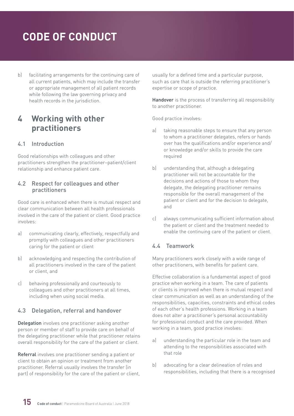<span id="page-14-0"></span>b) facilitating arrangements for the continuing care of all current patients, which may include the transfer or appropriate management of all patient records while following the law governing privacy and health records in the jurisdiction.

### **4 Working with other practitioners**

#### 4.1 Introduction

Good relationships with colleagues and other practitioners strengthen the practitioner–patient/client relationship and enhance patient care.

#### 4.2 Respect for colleagues and other practitioners

Good care is enhanced when there is mutual respect and clear communication between all health professionals involved in the care of the patient or client. Good practice involves:

- a) communicating clearly, effectively, respectfully and promptly with colleagues and other practitioners caring for the patient or client
- b) acknowledging and respecting the contribution of all practitioners involved in the care of the patient or client, and
- c) behaving professionally and courteously to colleagues and other practitioners at all times, including when using social media.

#### 4.3 Delegation, referral and handover

Delegation involves one practitioner asking another person or member of staff to provide care on behalf of the delegating practitioner while that practitioner retains overall responsibility for the care of the patient or client.

Referral involves one practitioner sending a patient or client to obtain an opinion or treatment from another practitioner. Referral usually involves the transfer (in part) of responsibility for the care of the patient or client, usually for a defined time and a particular purpose, such as care that is outside the referring practitioner's expertise or scope of practice.

Handover is the process of transferring all responsibility to another practitioner.

Good practice involves:

- a) taking reasonable steps to ensure that any person to whom a practitioner delegates, refers or hands over has the qualifications and/or experience and/ or knowledge and/or skills to provide the care required
- b) understanding that, although a delegating practitioner will not be accountable for the decisions and actions of those to whom they delegate, the delegating practitioner remains responsible for the overall management of the patient or client and for the decision to delegate, and
- c) always communicating sufficient information about the patient or client and the treatment needed to enable the continuing care of the patient or client.

#### 4.4 Teamwork

Many practitioners work closely with a wide range of other practitioners, with benefits for patient care.

Effective collaboration is a fundamental aspect of good practice when working in a team. The care of patients or clients is improved when there is mutual respect and clear communication as well as an understanding of the responsibilities, capacities, constraints and ethical codes of each other's health professions. Working in a team does not alter a practitioner's personal accountability for professional conduct and the care provided. When working in a team, good practice involves:

- a) understanding the particular role in the team and attending to the responsibilities associated with that role
- b) advocating for a clear delineation of roles and responsibilities, including that there is a recognised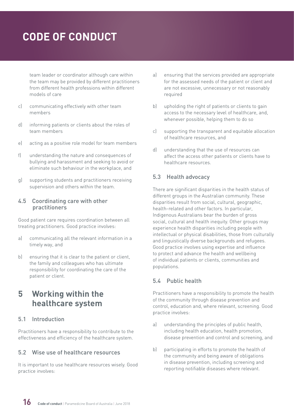<span id="page-15-0"></span>team leader or coordinator although care within the team may be provided by different practitioners from different health professions within different models of care

- c) communicating effectively with other team members
- d) informing patients or clients about the roles of team members
- e) acting as a positive role model for team members
- f) understanding the nature and consequences of bullying and harassment and seeking to avoid or eliminate such behaviour in the workplace, and
- g) supporting students and practitioners receiving supervision and others within the team.

#### 4.5 Coordinating care with other practitioners

Good patient care requires coordination between all treating practitioners. Good practice involves:

- a) communicating all the relevant information in a timely way, and
- b) ensuring that it is clear to the patient or client, the family and colleagues who has ultimate responsibility for coordinating the care of the patient or client.

### **5 Working within the healthcare system**

#### 5.1 Introduction

Practitioners have a responsibility to contribute to the effectiveness and efficiency of the healthcare system.

#### 5.2 Wise use of healthcare resources

It is important to use healthcare resources wisely. Good practice involves:

- a) ensuring that the services provided are appropriate for the assessed needs of the patient or client and are not excessive, unnecessary or not reasonably required
- b) upholding the right of patients or clients to gain access to the necessary level of healthcare, and, whenever possible, helping them to do so
- c) supporting the transparent and equitable allocation of healthcare resources, and
- d) understanding that the use of resources can affect the access other patients or clients have to healthcare resources.

#### 5.3 Health advocacy

There are significant disparities in the health status of different groups in the Australian community. These disparities result from social, cultural, geographic, health-related and other factors. In particular, Indigenous Australians bear the burden of gross social, cultural and health inequity. Other groups may experience health disparities including people with intellectual or physical disabilities, those from culturally and linguistically diverse backgrounds and refugees. Good practice involves using expertise and influence to protect and advance the health and wellbeing of individual patients or clients, communities and populations.

#### 5.4 Public health

Practitioners have a responsibility to promote the health of the community through disease prevention and control, education and, where relevant, screening. Good practice involves:

- a) understanding the principles of public health, including health education, health promotion, disease prevention and control and screening, and
- b) participating in efforts to promote the health of the community and being aware of obligations in disease prevention, including screening and reporting notifiable diseases where relevant.

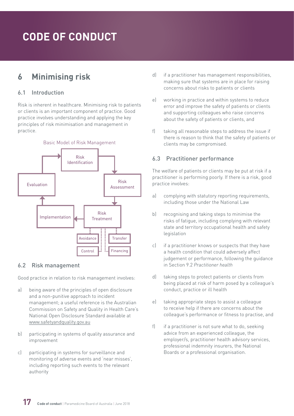### <span id="page-16-0"></span>**6 Minimising risk**

#### 6.1 Introduction

Risk is inherent in healthcare. Minimising risk to patients or clients is an important component of practice. Good practice involves understanding and applying the key principles of risk minimisation and management in practice.



#### 6.2 Risk management

Good practice in relation to risk management involves:

- a) being aware of the principles of open disclosure and a non-punitive approach to incident management; a useful reference is the Australian Commission on Safety and Quality in Health Care's National Open Disclosure Standard available at [www.safetyandquality.gov.au](file:///C:\Users\helen\AppData\Local\Microsoft\Windows\Temporary Internet Files\Content.Outlook\LLROZHLU\Early and multiple versions\www.safetyandquality.gov.au)
- b) participating in systems of quality assurance and improvement
- c) participating in systems for surveillance and monitoring of adverse events and 'near misses', including reporting such events to the relevant authority
- d) if a practitioner has management responsibilities, making sure that systems are in place for raising concerns about risks to patients or clients
- e) working in practice and within systems to reduce error and improve the safety of patients or clients and supporting colleagues who raise concerns about the safety of patients or clients, and
- f) taking all reasonable steps to address the issue if there is reason to think that the safety of patients or clients may be compromised.

#### 6.3 Practitioner performance

The welfare of patients or clients may be put at risk if a practitioner is performing poorly. If there is a risk, good practice involves:

- a) complying with statutory reporting requirements, including those under the National Law
- b) recognising and taking steps to minimise the risks of fatigue, including complying with relevant state and territory occupational health and safety legislation
- c) if a practitioner knows or suspects that they have a health condition that could adversely affect judgement or performance, following the guidance in Section 9.2 *Practitioner health*
- d) taking steps to protect patients or clients from being placed at risk of harm posed by a colleague's conduct, practice or ill health
- e) taking appropriate steps to assist a colleague to receive help if there are concerns about the colleague's performance or fitness to practise, and
- f) if a practitioner is not sure what to do, seeking advice from an experienced colleague, the employer/s, practitioner health advisory services, professional indemnity insurers, the National Boards or a professional organisation.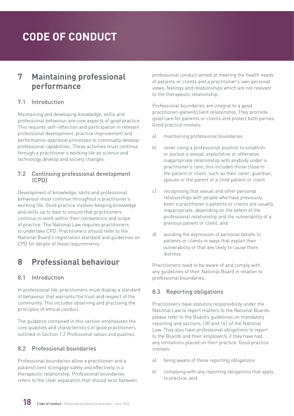### <span id="page-17-0"></span>**7 Maintaining professional performance**

#### 7.1 Introduction

Maintaining and developing knowledge, skills and professional behaviour are core aspects of good practice. This requires self-reflection and participation in relevant professional development, practice improvement and performance-appraisal processes to continually develop professional capabilities. These activities must continue through a practitioner's working life as science and technology develop and society changes.

#### 7.2 Continuing professional development (CPD)

Development of knowledge, skills and professional behaviour must continue throughout a practitioner's working life. Good practice involves keeping knowledge and skills up to date to ensure that practitioners continue to work within their competence and scope of practice. The National Law requires practitioners to undertake CPD. Practitioners should refer to the National Board's registration standard and guidelines on CPD for details of these requirements.

### **8 Professional behaviour**

#### 8.1 Introduction

In professional life, practitioners must display a standard of behaviour that warrants the trust and respect of the community. This includes observing and practising the principles of ethical conduct.

The guidance contained in this section emphasises the core qualities and characteristics of good practitioners outlined in Section 1.2 *Professional values and qualities*.

#### 8.2 Professional boundaries

Professional boundaries allow a practitioner and a patient/client to engage safely and effectively in a therapeutic relationship. Professional boundaries refers to the clear separation that should exist between professional conduct aimed at meeting the health needs of patients or clients and a practitioner's own personal views, feelings and relationships which are not relevant to the therapeutic relationship.

Professional boundaries are integral to a good practitioner–patient/client relationship. They promote good care for patients or clients and protect both parties. Good practice involves:

- a) maintaining professional boundaries
- b) never using a professional position to establish or pursue a sexual, exploitative or otherwise inappropriate relationship with anybody under a practitioner's care; this includes those close to the patient or client, such as their carer, guardian, spouse or the parent of a child patient or client
- c) recognising that sexual and other personal relationships with people who have previously been a practitioner's patients or clients are usually inappropriate, depending on the extent of the professional relationship and the vulnerability of a previous patient or client, and
- d) avoiding the expression of personal beliefs to patients or clients in ways that exploit their vulnerability or that are likely to cause them distress.

Practitioners need to be aware of and comply with any guidelines of their National Board in relation to professional boundaries.

#### 8.3 Reporting obligations

Practitioners have statutory responsibility under the National Law to report matters to the National Boards: please refer to the Board's guidelines on mandatory reporting and sections 130 and 141 of the National Law. They also have professional obligations to report to the Boards and their employer/s if they have had any limitations placed on their practice. Good practice involves:

- a) being aware of these reporting obligations
- b) complying with any reporting obligations that apply to practice, and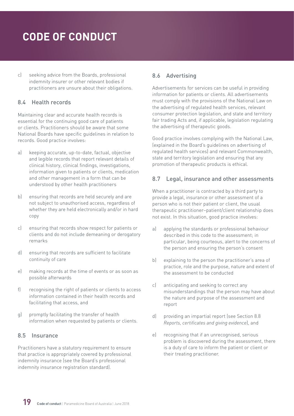<span id="page-18-0"></span>c) seeking advice from the Boards, professional indemnity insurer or other relevant bodies if practitioners are unsure about their obligations.

#### 8.4 Health records

Maintaining clear and accurate health records is essential for the continuing good care of patients or clients. Practitioners should be aware that some National Boards have specific guidelines in relation to records. Good practice involves:

- a) keeping accurate, up-to-date, factual, objective and legible records that report relevant details of clinical history, clinical findings, investigations, information given to patients or clients, medication and other management in a form that can be understood by other health practitioners
- b) ensuring that records are held securely and are not subject to unauthorised access, regardless of whether they are held electronically and/or in hard copy
- c) ensuring that records show respect for patients or clients and do not include demeaning or derogatory remarks
- d) ensuring that records are sufficient to facilitate continuity of care
- e) making records at the time of events or as soon as possible afterwards
- f) recognising the right of patients or clients to access information contained in their health records and facilitating that access, and
- g) promptly facilitating the transfer of health information when requested by patients or clients.

#### 8.5 Insurance

Practitioners have a statutory requirement to ensure that practice is appropriately covered by professional indemnity insurance (see the Board's professional indemnity insurance registration standard).

#### 8.6 Advertising

Advertisements for services can be useful in providing information for patients or clients. All advertisements must comply with the provisions of the National Law on the advertising of regulated health services, relevant consumer protection legislation, and state and territory fair trading Acts and, if applicable, legislation regulating the advertising of therapeutic goods.

Good practice involves complying with the National Law, (explained in the Board's guidelines on advertising of regulated health services) and relevant Commonwealth, state and territory legislation and ensuring that any promotion of therapeutic products is ethical.

#### 8.7 Legal, insurance and other assessments

When a practitioner is contracted by a third party to provide a legal, insurance or other assessment of a person who is not their patient or client, the usual therapeutic practitioner–patient/client relationship does not exist. In this situation, good practice involves:

- a) applying the standards or professional behaviour described in this code to the assessment; in particular, being courteous, alert to the concerns of the person and ensuring the person's consent
- b) explaining to the person the practitioner's area of practice, role and the purpose, nature and extent of the assessment to be conducted
- c) anticipating and seeking to correct any misunderstandings that the person may have about the nature and purpose of the assessment and report
- d) providing an impartial report (see Section 8.8 *Reports, certificates and giving evidence*), and
- e) recognising that if an unrecognised, serious problem is discovered during the assessment, there is a duty of care to inform the patient or client or their treating practitioner.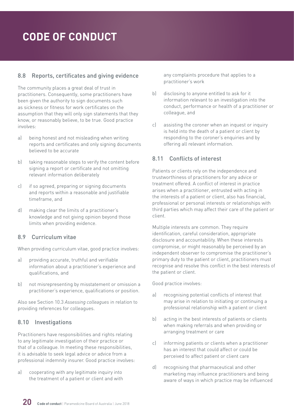#### <span id="page-19-0"></span>8.8 Reports, certificates and giving evidence

The community places a great deal of trust in practitioners. Consequently, some practitioners have been given the authority to sign documents such as sickness or fitness for work certificates on the assumption that they will only sign statements that they know, or reasonably believe, to be true. Good practice involves:

- a) being honest and not misleading when writing reports and certificates and only signing documents believed to be accurate
- b) taking reasonable steps to verify the content before signing a report or certificate and not omitting relevant information deliberately
- c) if so agreed, preparing or signing documents and reports within a reasonable and justifiable timeframe, and
- d) making clear the limits of a practitioner's knowledge and not giving opinion beyond those limits when providing evidence.

#### 8.9 Curriculum vitae

When providing curriculum vitae, good practice involves:

- a) providing accurate, truthful and verifiable information about a practitioner's experience and qualifications, and
- b) not misrepresenting by misstatement or omission a practitioner's experience, qualifications or position.

Also see Section 10.3 *Assessing colleagues* in relation to providing references for colleagues.

#### 8.10 Investigations

Practitioners have responsibilities and rights relating to any legitimate investigation of their practice or that of a colleague. In meeting these responsibilities, it is advisable to seek legal advice or advice from a professional indemnity insurer. Good practice involves:

a) cooperating with any legitimate inquiry into the treatment of a patient or client and with any complaints procedure that applies to a practitioner's work

- b) disclosing to anyone entitled to ask for it information relevant to an investigation into the conduct, performance or health of a practitioner or colleague, and
- c) assisting the coroner when an inquest or inquiry is held into the death of a patient or client by responding to the coroner's enquiries and by offering all relevant information.

#### 8.11 Conflicts of interest

Patients or clients rely on the independence and trustworthiness of practitioners for any advice or treatment offered. A conflict of interest in practice arises when a practitioner, entrusted with acting in the interests of a patient or client, also has financial, professional or personal interests or relationships with third parties which may affect their care of the patient or client.

Multiple interests are common. They require identification, careful consideration, appropriate disclosure and accountability. When these interests compromise, or might reasonably be perceived by an independent observer to compromise the practitioner's primary duty to the patient or client, practitioners must recognise and resolve this conflict in the best interests of the patient or client.

- a) recognising potential conflicts of interest that may arise in relation to initiating or continuing a professional relationship with a patient or client
- b) acting in the best interests of patients or clients when making referrals and when providing or arranging treatment or care
- c) informing patients or clients when a practitioner has an interest that could affect or could be perceived to affect patient or client care
- d) recognising that pharmaceutical and other marketing may influence practitioners and being aware of ways in which practice may be influenced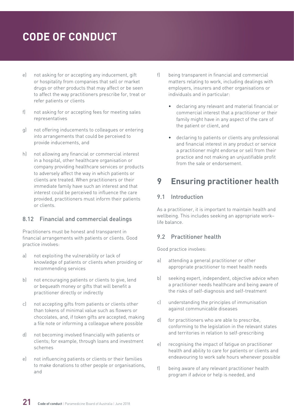- <span id="page-20-0"></span>e) not asking for or accepting any inducement, gift or hospitality from companies that sell or market drugs or other products that may affect or be seen to affect the way practitioners prescribe for, treat or refer patients or clients
- f) not asking for or accepting fees for meeting sales representatives
- g) not offering inducements to colleagues or entering into arrangements that could be perceived to provide inducements, and
- h) not allowing any financial or commercial interest in a hospital, other healthcare organisation or company providing healthcare services or products to adversely affect the way in which patients or clients are treated. When practitioners or their immediate family have such an interest and that interest could be perceived to influence the care provided, practitioners must inform their patients or clients.

#### 8.12 Financial and commercial dealings

Practitioners must be honest and transparent in financial arrangements with patients or clients. Good practice involves:

- a) not exploiting the vulnerability or lack of knowledge of patients or clients when providing or recommending services
- b) not encouraging patients or clients to give, lend or bequeath money or gifts that will benefit a practitioner directly or indirectly
- c) not accepting gifts from patients or clients other than tokens of minimal value such as flowers or chocolates, and, if token gifts are accepted, making a file note or informing a colleague where possible
- d) not becoming involved financially with patients or clients; for example, through loans and investment schemes
- e) not influencing patients or clients or their families to make donations to other people or organisations, and
- f) being transparent in financial and commercial matters relating to work, including dealings with employers, insurers and other organisations or individuals and in particular:
	- declaring any relevant and material financial or commercial interest that a practitioner or their family might have in any aspect of the care of the patient or client, and
	- declaring to patients or clients any professional and financial interest in any product or service a practitioner might endorse or sell from their practice and not making an unjustifiable profit from the sale or endorsement.

### **9 Ensuring practitioner health**

#### 9.1 Introduction

As a practitioner, it is important to maintain health and wellbeing. This includes seeking an appropriate work– life balance.

#### 9.2 Practitioner health

- a) attending a general practitioner or other appropriate practitioner to meet health needs
- b) seeking expert, independent, objective advice when a practitioner needs healthcare and being aware of the risks of self-diagnosis and self-treatment
- c) understanding the principles of immunisation against communicable diseases
- d) for practitioners who are able to prescribe, conforming to the legislation in the relevant states and territories in relation to self-prescribing
- e) recognising the impact of fatigue on practitioner health and ability to care for patients or clients and endeavouring to work safe hours whenever possible
- f) being aware of any relevant practitioner health program if advice or help is needed, and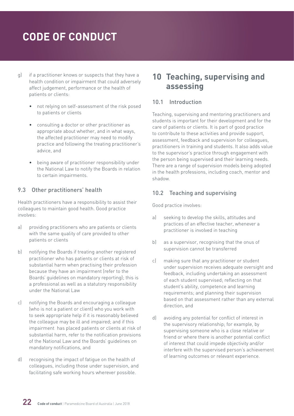- <span id="page-21-0"></span>g) if a practitioner knows or suspects that they have a health condition or impairment that could adversely affect judgement, performance or the health of patients or clients:
	- not relying on self-assessment of the risk posed to patients or clients
	- consulting a doctor or other practitioner as appropriate about whether, and in what ways, the affected practitioner may need to modify practice and following the treating practitioner's advice, and
	- being aware of practitioner responsibility under the National Law to notify the Boards in relation to certain impairments.

#### 9.3 Other practitioners' health

Health practitioners have a responsibility to assist their colleagues to maintain good health. Good practice involves:

- a) providing practitioners who are patients or clients with the same quality of care provided to other patients or clients
- b) notifying the Boards if treating another registered practitioner who has patients or clients at risk of substantial harm when practising their profession because they have an impairment (refer to the Boards' guidelines on mandatory reporting); this is a professional as well as a statutory responsibility under the National Law
- c) notifying the Boards and encouraging a colleague (who is not a patient or client) who you work with to seek appropriate help if it is reasonably believed the colleague may be ill and impaired; and if this impairment has placed patients or clients at risk of substantial harm, refer to the notification provisions of the National Law and the Boards' guidelines on mandatory notifications, and
- d) recognising the impact of fatigue on the health of colleagues, including those under supervision, and facilitating safe working hours wherever possible.

### **10 Teaching, supervising and assessing**

#### 10.1 Introduction

Teaching, supervising and mentoring practitioners and students is important for their development and for the care of patients or clients. It is part of good practice to contribute to these activities and provide support, assessment, feedback and supervision for colleagues, practitioners in training and students. It also adds value to the supervisor's practice through engagement with the person being supervised and their learning needs. There are a range of supervision models being adopted in the health professions, including coach, mentor and shadow.

#### 10.2 Teaching and supervising

- a) seeking to develop the skills, attitudes and practices of an effective teacher, whenever a practitioner is involved in teaching
- b) as a supervisor, recognising that the onus of supervision cannot be transferred
- c) making sure that any practitioner or student under supervision receives adequate oversight and feedback, including undertaking an assessment of each student supervised; reflecting on that student's ability, competence and learning requirements; and planning their supervision based on that assessment rather than any external direction, and
- d) avoiding any potential for conflict of interest in the supervisory relationship; for example, by supervising someone who is a close relative or friend or where there is another potential conflict of interest that could impede objectivity and/or interfere with the supervised person's achievement of learning outcomes or relevant experience.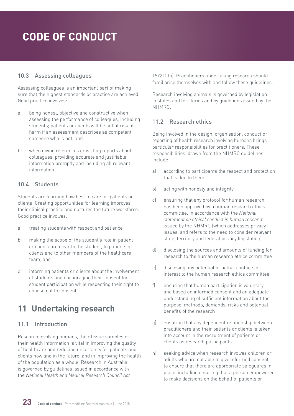#### <span id="page-22-0"></span>10.3 Assessing colleagues

Assessing colleagues is an important part of making sure that the highest standards or practice are achieved. Good practice involves:

- a) being honest, objective and constructive when assessing the performance of colleagues, including students; patients or clients will be put at risk of harm if an assessment describes as competent someone who is not, and
- b) when giving references or writing reports about colleagues, providing accurate and justifiable information promptly and including all relevant information.

#### 10.4 Students

Students are learning how best to care for patients or clients. Creating opportunities for learning improves their clinical practice and nurtures the future workforce. Good practice involves:

- a) treating students with respect and patience
- b) making the scope of the student's role in patient or client care clear to the student, to patients or clients and to other members of the healthcare team, and
- c) informing patients or clients about the involvement of students and encouraging their consent for student participation while respecting their right to choose not to consent.

### **11 Undertaking research**

#### 11.1 Introduction

Research involving humans, their tissue samples or their health information is vital in improving the quality of healthcare and reducing uncertainty for patients and clients now and in the future, and in improving the health of the population as a whole. Research in Australia is governed by guidelines issued in accordance with the *National Health and Medical Research Council Act* 

*1992* (Cth). Practitioners undertaking research should familiarise themselves with and follow these guidelines.

Research involving animals is governed by legislation in states and territories and by guidelines issued by the NHMRC.

#### 11.2 Research ethics

Being involved in the design, organisation, conduct or reporting of health research involving humans brings particular responsibilities for practitioners. These responsibilities, drawn from the NHMRC guidelines, include:

- a) according to participants the respect and protection that is due to them
- b) acting with honesty and integrity
- c) ensuring that any protocol for human research has been approved by a human research ethics committee, in accordance with the *National statement on ethical conduct in human research* issued by the NHMRC (which addresses privacy issues, and refers to the need to consider relevant state, territory and federal privacy legislation)
- d) disclosing the sources and amounts of funding for research to the human research ethics committee
- e) disclosing any potential or actual conflicts of interest to the human research ethics committee
- f) ensuring that human participation is voluntary and based on informed consent and an adequate understanding of sufficient information about the purpose, methods, demands, risks and potential benefits of the research
- g) ensuring that any dependent relationship between practitioners and their patients or clients is taken into account in the recruitment of patients or clients as research participants
- h) seeking advice when research involves children or adults who are not able to give informed consent to ensure that there are appropriate safeguards in place, including ensuring that a person empowered to make decisions on the behalf of patients or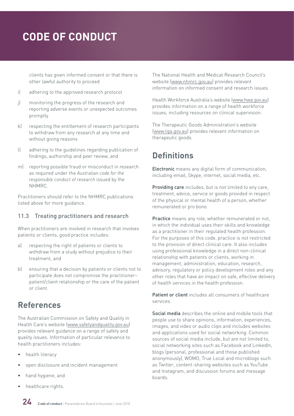<span id="page-23-0"></span>clients has given informed consent or that there is other lawful authority to proceed

- i) adhering to the approved research protocol
- j) monitoring the progress of the research and reporting adverse events or unexpected outcomes promptly
- k) respecting the entitlement of research participants to withdraw from any research at any time and without giving reasons
- l) adhering to the guidelines regarding publication of findings, authorship and peer review, and
- m) reporting possible fraud or misconduct in research as required under the *Australian code for the responsible conduct of research* issued by the NHMRC.

Practitioners should refer to the NHMRC publications listed above for more guidance.

#### 11.3 Treating practitioners and research

When practitioners are involved in research that involves patients or clients, good practice includes:

- a) respecting the right of patients or clients to withdraw from a study without prejudice to their treatment, and
- b) ensuring that a decision by patients or clients not to participate does not compromise the practitioner– patient/client relationship or the care of the patient or client.

### **References**

The Australian Commission on Safety and Quality in Health Care's website ([www.safetyandquality.gov.au\)](http://www.safetyandquality.gov.au) provides relevant guidance on a range of safety and quality issues. Information of particular relevance to health practitioners includes:

- health literacy
- open disclosure and incident management
- hand hygiene, and
- healthcare rights.

The National Health and Medical Research Council's website [\(www.nhmrc.gov.au\)](http://www.nhmrc.gov.au) provides relevant information on informed consent and research issues.

Health Workforce Australia's website [\(www.hwa.gov.au\)](http://www.hwa.gov.au) provides information on a range of health workforce issues, including resources on clinical supervision.

The Therapeutic Goods Administration's website [\(www.tga.gov.au\)](http://www.tga.gov.au) provides relevant information on therapeutic goods.

### **Definitions**

Electronic means any digital form of communication, including email, Skype, internet, social media, etc.

Providing care includes, but is not limited to any care, treatment, advice, service or goods provided in respect of the physical or mental health of a person, whether remunerated or pro bono.

Practice means any role, whether remunerated or not, in which the individual uses their skills and knowledge as a practitioner in their regulated health profession. For the purposes of this code, practice is not restricted to the provision of direct clinical care. It also includes using professional knowledge in a direct non-clinical relationship with patients or clients, working in management, administration, education, research, advisory, regulatory or policy development roles and any other roles that have an impact on safe, effective delivery of health services in the health profession.

Patient or client includes all consumers of healthcare services.

Social media describes the online and mobile tools that people use to share opinions, information, experiences, images, and video or audio clips and includes websites and applications used for social networking. Common sources of social media include, but are not limited to, social networking sites such as Facebook and LinkedIn. blogs (personal, professional and those published anonymously), WOMO, True Local and microblogs such as Twitter, content-sharing websites such as YouTube and Instagram, and discussion forums and message boards.